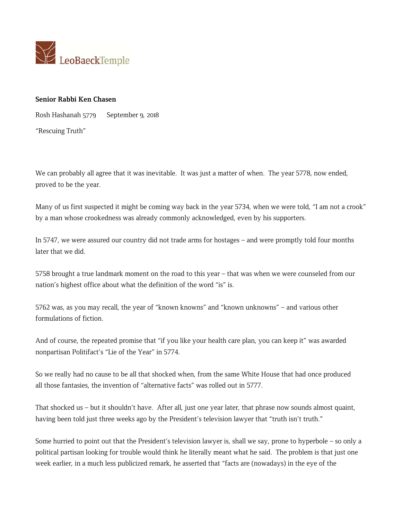

## **Senior Rabbi Ken Chasen**

Rosh Hashanah 5779 September 9, 2018 "Rescuing Truth"

We can probably all agree that it was inevitable. It was just a matter of when. The year 5778, now ended, proved to be the year.

Many of us first suspected it might be coming way back in the year 5734, when we were told, "I am not a crook" by a man whose crookedness was already commonly acknowledged, even by his supporters.

In 5747, we were assured our country did not trade arms for hostages – and were promptly told four months later that we did.

5758 brought a true landmark moment on the road to this year – that was when we were counseled from our nation's highest office about what the definition of the word "is" is.

5762 was, as you may recall, the year of "known knowns" and "known unknowns" – and various other formulations of fiction.

And of course, the repeated promise that "if you like your health care plan, you can keep it" was awarded nonpartisan Politifact's "Lie of the Year" in 5774.

So we really had no cause to be all that shocked when, from the same White House that had once produced all those fantasies, the invention of "alternative facts" was rolled out in 5777.

That shocked us – but it shouldn't have. After all, just one year later, that phrase now sounds almost quaint, having been told just three weeks ago by the President's television lawyer that "truth isn't truth."

Some hurried to point out that the President's television lawyer is, shall we say, prone to hyperbole – so only a political partisan looking for trouble would think he literally meant what he said. The problem is that just one week earlier, in a much less publicized remark, he asserted that "facts are (nowadays) in the eye of the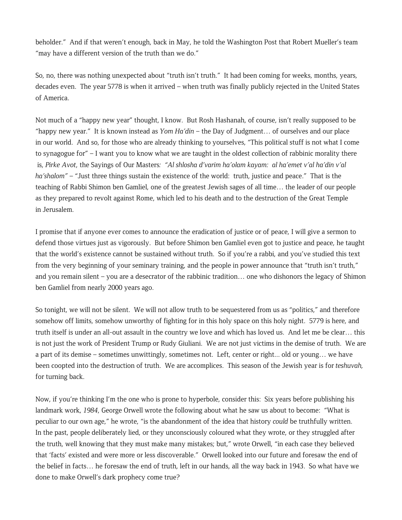beholder." And if that weren't enough, back in May, he told the Washington Post that Robert Mueller's team "may have a different version of the truth than we do."

So, no, there was nothing unexpected about "truth isn't truth." It had been coming for weeks, months, years, decades even. The year 5778 is when it arrived – when truth was finally publicly rejected in the United States of America.

Not much of a "happy new year" thought, I know. But Rosh Hashanah, of course, isn't really supposed to be "happy new year." It is known instead as *Yom Ha'din* – the Day of Judgment… of ourselves and our place in our world. And so, for those who are already thinking to yourselves, "This political stuff is not what I come to synagogue for" – I want you to know what we are taught in the oldest collection of rabbinic morality there is, *Pirke Avot*, the Sayings of Our Masters*: "Al shlosha d'varim ha'olam kayam: al ha'emet v'al ha'din v'al ha'shalom"* – "Just three things sustain the existence of the world: truth, justice and peace." That is the teaching of Rabbi Shimon ben Gamliel, one of the greatest Jewish sages of all time… the leader of our people as they prepared to revolt against Rome, which led to his death and to the destruction of the Great Temple in Jerusalem.

I promise that if anyone ever comes to announce the eradication of justice or of peace, I will give a sermon to defend those virtues just as vigorously. But before Shimon ben Gamliel even got to justice and peace, he taught that the world's existence cannot be sustained without truth. So if you're a rabbi, and you've studied this text from the very beginning of your seminary training, and the people in power announce that "truth isn't truth," and you remain silent – you are a desecrator of the rabbinic tradition… one who dishonors the legacy of Shimon ben Gamliel from nearly 2000 years ago.

So tonight, we will not be silent. We will not allow truth to be sequestered from us as "politics," and therefore somehow off limits, somehow unworthy of fighting for in this holy space on this holy night. 5779 is here, and truth itself is under an all-out assault in the country we love and which has loved us. And let me be clear… this is not just the work of President Trump or Rudy Giuliani. We are not just victims in the demise of truth. We are a part of its demise – sometimes unwittingly, sometimes not. Left, center or right... old or young… we have been coopted into the destruction of truth. We are accomplices. This season of the Jewish year is for *teshuvah,* for turning back.

Now, if you're thinking I'm the one who is prone to hyperbole, consider this: Six years before publishing his landmark work, *1984*, George Orwell wrote the following about what he saw us about to become: "What is peculiar to our own age," he wrote, "is the abandonment of the idea that history *could* be truthfully written. In the past, people deliberately lied, or they unconsciously coloured what they wrote, or they struggled after the truth, well knowing that they must make many mistakes; but," wrote Orwell, "in each case they believed that 'facts' existed and were more or less discoverable." Orwell looked into our future and foresaw the end of the belief in facts… he foresaw the end of truth, left in our hands, all the way back in 1943. So what have we done to make Orwell's dark prophecy come true?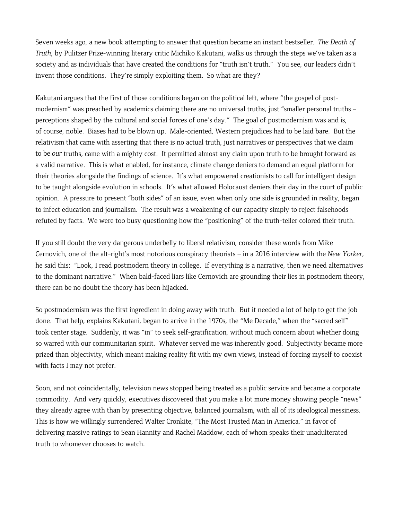Seven weeks ago, a new book attempting to answer that question became an instant bestseller. *The Death of Truth*, by Pulitzer Prize-winning literary critic Michiko Kakutani, walks us through the steps we've taken as a society and as individuals that have created the conditions for "truth isn't truth." You see, our leaders didn't invent those conditions. They're simply exploiting them. So what are they?

Kakutani argues that the first of those conditions began on the political left, where "the gospel of postmodernism" was preached by academics claiming there are no universal truths, just "smaller personal truths – perceptions shaped by the cultural and social forces of one's day." The goal of postmodernism was and is, of course, noble. Biases had to be blown up. Male-oriented, Western prejudices had to be laid bare. But the relativism that came with asserting that there is no actual truth, just narratives or perspectives that we claim to be *our* truths, came with a mighty cost. It permitted almost any claim upon truth to be brought forward as a valid narrative. This is what enabled, for instance, climate change deniers to demand an equal platform for their theories alongside the findings of science. It's what empowered creationists to call for intelligent design to be taught alongside evolution in schools. It's what allowed Holocaust deniers their day in the court of public opinion. A pressure to present "both sides" of an issue, even when only one side is grounded in reality, began to infect education and journalism. The result was a weakening of our capacity simply to reject falsehoods refuted by facts. We were too busy questioning how the "positioning" of the truth-teller colored their truth.

If you still doubt the very dangerous underbelly to liberal relativism, consider these words from Mike Cernovich, one of the alt-right's most notorious conspiracy theorists – in a 2016 interview with the *New Yorker*, he said this: "Look, I read postmodern theory in college. If everything is a narrative, then we need alternatives to the dominant narrative." When bald-faced liars like Cernovich are grounding their lies in postmodern theory, there can be no doubt the theory has been hijacked.

So postmodernism was the first ingredient in doing away with truth. But it needed a lot of help to get the job done. That help, explains Kakutani, began to arrive in the 1970s, the "Me Decade," when the "sacred self" took center stage. Suddenly, it was "in" to seek self-gratification, without much concern about whether doing so warred with our communitarian spirit. Whatever served me was inherently good. Subjectivity became more prized than objectivity, which meant making reality fit with my own views, instead of forcing myself to coexist with facts I may not prefer.

Soon, and not coincidentally, television news stopped being treated as a public service and became a corporate commodity. And very quickly, executives discovered that you make a lot more money showing people "news" they already agree with than by presenting objective, balanced journalism, with all of its ideological messiness. This is how we willingly surrendered Walter Cronkite, "The Most Trusted Man in America," in favor of delivering massive ratings to Sean Hannity and Rachel Maddow, each of whom speaks their unadulterated truth to whomever chooses to watch.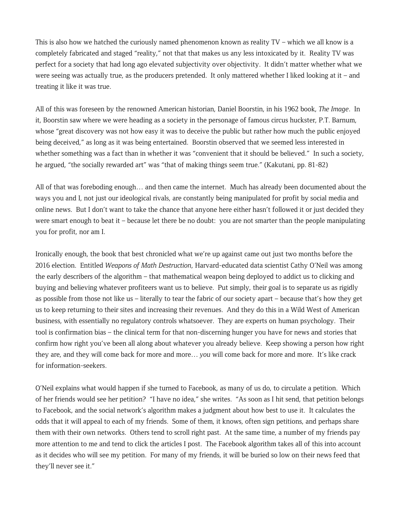This is also how we hatched the curiously named phenomenon known as reality  $TV$  – which we all know is a completely fabricated and staged "reality," not that that makes us any less intoxicated by it. Reality TV was perfect for a society that had long ago elevated subjectivity over objectivity. It didn't matter whether what we were seeing was actually true, as the producers pretended. It only mattered whether I liked looking at it – and treating it like it was true.

All of this was foreseen by the renowned American historian, Daniel Boorstin, in his 1962 book, *The Image*. In it, Boorstin saw where we were heading as a society in the personage of famous circus huckster, P.T. Barnum, whose "great discovery was not how easy it was to deceive the public but rather how much the public enjoyed being deceived," as long as it was being entertained. Boorstin observed that we seemed less interested in whether something was a fact than in whether it was "convenient that it should be believed." In such a society, he argued, "the socially rewarded art" was "that of making things seem true." (Kakutani, pp. 81-82)

All of that was foreboding enough… and then came the internet. Much has already been documented about the ways you and I, not just our ideological rivals, are constantly being manipulated for profit by social media and online news. But I don't want to take the chance that anyone here either hasn't followed it or just decided they were smart enough to beat it – because let there be no doubt: you are not smarter than the people manipulating you for profit, nor am I.

Ironically enough, the book that best chronicled what we're up against came out just two months before the 2016 election. Entitled *Weapons of Math Destruction*, Harvard-educated data scientist Cathy O'Neil was among the early describers of the algorithm – that mathematical weapon being deployed to addict us to clicking and buying and believing whatever profiteers want us to believe. Put simply, their goal is to separate us as rigidly as possible from those not like us – literally to tear the fabric of our society apart – because that's how they get us to keep returning to their sites and increasing their revenues. And they do this in a Wild West of American business, with essentially no regulatory controls whatsoever. They are experts on human psychology. Their tool is confirmation bias – the clinical term for that non-discerning hunger you have for news and stories that confirm how right you've been all along about whatever you already believe. Keep showing a person how right they are, and they will come back for more and more… *you* will come back for more and more. It's like crack for information-seekers.

O'Neil explains what would happen if she turned to Facebook, as many of us do, to circulate a petition. Which of her friends would see her petition? "I have no idea," she writes. "As soon as I hit send, that petition belongs to Facebook, and the social network's algorithm makes a judgment about how best to use it. It calculates the odds that it will appeal to each of my friends. Some of them, it knows, often sign petitions, and perhaps share them with their own networks. Others tend to scroll right past. At the same time, a number of my friends pay more attention to me and tend to click the articles I post. The Facebook algorithm takes all of this into account as it decides who will see my petition. For many of my friends, it will be buried so low on their news feed that they'll never see it."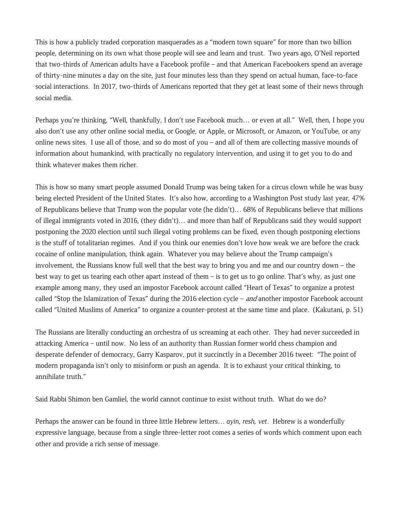This is how a publicly traded corporation masquerades as a "modern town square" for more than two billion people, determining on its own what those people will see and learn and trust. Two years ago, O'Neil reported that two-thirds of American adults have a Facebook profile – and that American Facebookers spend an average of thirty-nine minutes a day on the site, just four minutes less than they spend on actual human, face-to-face social interactions. In 2017, two-thirds of Americans reported that they get at least some of their news through social media.

Perhaps you're thinking, "Well, thankfully, I don't use Facebook much… or even at all." Well, then, I hope you also don't use any other online social media, or Google, or Apple, or Microsoft, or Amazon, or YouTube, or any online news sites. I use all of those, and so do most of you – and all of them are collecting massive mounds of information about humankind, with practically no regulatory intervention, and using it to get you to do and think whatever makes them richer.

This is how so many smart people assumed Donald Trump was being taken for a circus clown while he was busy being elected President of the United States. It's also how, according to a Washington Post study last year, 47% of Republicans believe that Trump won the popular vote (he didn't)… 68% of Republicans believe that millions of illegal immigrants voted in 2016, (they didn't)… and more than half of Republicans said they would support postponing the 2020 election until such illegal voting problems can be fixed, even though postponing elections is the stuff of totalitarian regimes. And if you think our enemies don't love how weak we are before the crack cocaine of online manipulation, think again. Whatever you may believe about the Trump campaign's involvement, the Russians know full well that the best way to bring you and me and our country down – the best way to get us tearing each other apart instead of them – is to get us to go online. That's why, as just one example among many, they used an impostor Facebook account called "Heart of Texas" to organize a protest called "Stop the Islamization of Texas" during the 2016 election cycle - and another impostor Facebook account called "United Muslims of America" to organize a counter-protest at the same time and place. (Kakutani, p. 51)

The Russians are literally conducting an orchestra of us screaming at each other. They had never succeeded in attacking America – until now. No less of an authority than Russian former world chess champion and desperate defender of democracy, Garry Kasparov, put it succinctly in a December 2016 tweet: "The point of modern propaganda isn't only to misinform or push an agenda. It is to exhaust your critical thinking, to annihilate truth."

Said Rabbi Shimon ben Gamliel, the world cannot continue to exist without truth. What do we do?

Perhaps the answer can be found in three little Hebrew letters… *ayin, resh, vet*. Hebrew is a wonderfully expressive language, because from a single three-letter root comes a series of words which comment upon each other and provide a rich sense of message.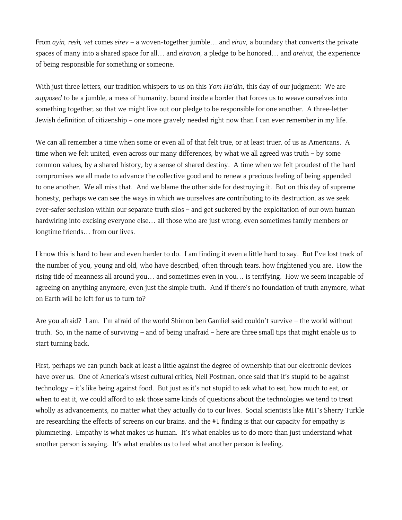From *ayin, resh, vet* comes *eirev* – a woven-together jumble… and *eiruv*, a boundary that converts the private spaces of many into a shared space for all… and *eiravon*, a pledge to be honored… and *areivut*, the experience of being responsible for something or someone.

With just three letters, our tradition whispers to us on this *Yom Ha'din*, this day of our judgment: We are *supposed* to be a jumble, a mess of humanity, bound inside a border that forces us to weave ourselves into something together, so that we might live out our pledge to be responsible for one another. A three-letter Jewish definition of citizenship – one more gravely needed right now than I can ever remember in my life.

We can all remember a time when some or even all of that felt true, or at least truer, of us as Americans. A time when we felt united, even across our many differences, by what we all agreed was truth – by some common values, by a shared history, by a sense of shared destiny. A time when we felt proudest of the hard compromises we all made to advance the collective good and to renew a precious feeling of being appended to one another. We all miss that. And we blame the other side for destroying it. But on this day of supreme honesty, perhaps we can see the ways in which we ourselves are contributing to its destruction, as we seek ever-safer seclusion within our separate truth silos – and get suckered by the exploitation of our own human hardwiring into excising everyone else... all those who are just wrong, even sometimes family members or longtime friends… from our lives.

I know this is hard to hear and even harder to do. I am finding it even a little hard to say. But I've lost track of the number of you, young and old, who have described, often through tears, how frightened you are. How the rising tide of meanness all around you… and sometimes even in you… is terrifying. How we seem incapable of agreeing on anything anymore, even just the simple truth. And if there's no foundation of truth anymore, what on Earth will be left for us to turn to?

Are you afraid? I am. I'm afraid of the world Shimon ben Gamliel said couldn't survive – the world without truth. So, in the name of surviving – and of being unafraid – here are three small tips that might enable us to start turning back.

First, perhaps we can punch back at least a little against the degree of ownership that our electronic devices have over us. One of America's wisest cultural critics, Neil Postman, once said that it's stupid to be against technology – it's like being against food. But just as it's not stupid to ask what to eat, how much to eat, or when to eat it, we could afford to ask those same kinds of questions about the technologies we tend to treat wholly as advancements, no matter what they actually do to our lives. Social scientists like MIT's Sherry Turkle are researching the effects of screens on our brains, and the #1 finding is that our capacity for empathy is plummeting. Empathy is what makes us human. It's what enables us to do more than just understand what another person is saying. It's what enables us to feel what another person is feeling.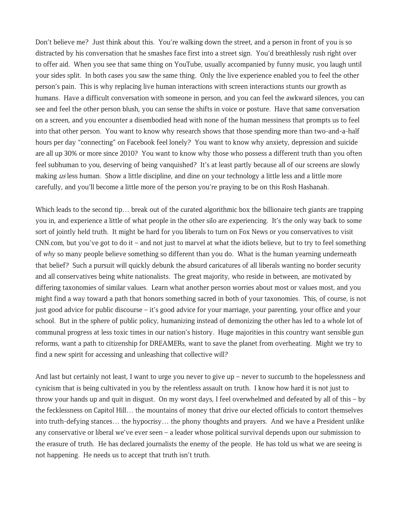Don't believe me? Just think about this. You're walking down the street, and a person in front of you is so distracted by his conversation that he smashes face first into a street sign. You'd breathlessly rush right over to offer aid. When you see that same thing on YouTube, usually accompanied by funny music, you laugh until your sides split. In both cases you saw the same thing. Only the live experience enabled you to feel the other person's pain. This is why replacing live human interactions with screen interactions stunts our growth as humans. Have a difficult conversation with someone in person, and you can feel the awkward silences, you can see and feel the other person blush, you can sense the shifts in voice or posture. Have that same conversation on a screen, and you encounter a disembodied head with none of the human messiness that prompts us to feel into that other person. You want to know why research shows that those spending more than two-and-a-half hours per day "connecting" on Facebook feel lonely? You want to know why anxiety, depression and suicide are all up 30% or more since 2010? You want to know why those who possess a different truth than you often feel subhuman to you, deserving of being vanquished? It's at least partly because all of our screens are slowly making us less human. Show a little discipline, and dine on your technology a little less and a little more carefully, and you'll become a little more of the person you're praying to be on this Rosh Hashanah.

Which leads to the second tip... break out of the curated algorithmic box the billionaire tech giants are trapping you in, and experience a little of what people in the other silo are experiencing. It's the only way back to some sort of jointly held truth. It might be hard for you liberals to turn on Fox News or you conservatives to visit CNN.com, but you've got to do it – and not just to marvel at what the idiots believe, but to try to feel something of *why* so many people believe something so different than you do. What is the human yearning underneath that belief? Such a pursuit will quickly debunk the absurd caricatures of all liberals wanting no border security and all conservatives being white nationalists. The great majority, who reside in between, are motivated by differing taxonomies of similar values. Learn what another person worries about most or values most, and you might find a way toward a path that honors something sacred in both of your taxonomies. This, of course, is not just good advice for public discourse – it's good advice for your marriage, your parenting, your office and your school. But in the sphere of public policy, humanizing instead of demonizing the other has led to a whole lot of communal progress at less toxic times in our nation's history. Huge majorities in this country want sensible gun reforms, want a path to citizenship for DREAMERs, want to save the planet from overheating. Might we try to find a new spirit for accessing and unleashing that collective will?

And last but certainly not least, I want to urge you never to give up – never to succumb to the hopelessness and cynicism that is being cultivated in you by the relentless assault on truth. I know how hard it is not just to throw your hands up and quit in disgust. On my worst days, I feel overwhelmed and defeated by all of this – by the fecklessness on Capitol Hill… the mountains of money that drive our elected officials to contort themselves into truth-defying stances… the hypocrisy… the phony thoughts and prayers. And we have a President unlike any conservative or liberal we've ever seen – a leader whose political survival depends upon our submission to the erasure of truth. He has declared journalists the enemy of the people. He has told us what we are seeing is not happening. He needs us to accept that truth isn't truth.